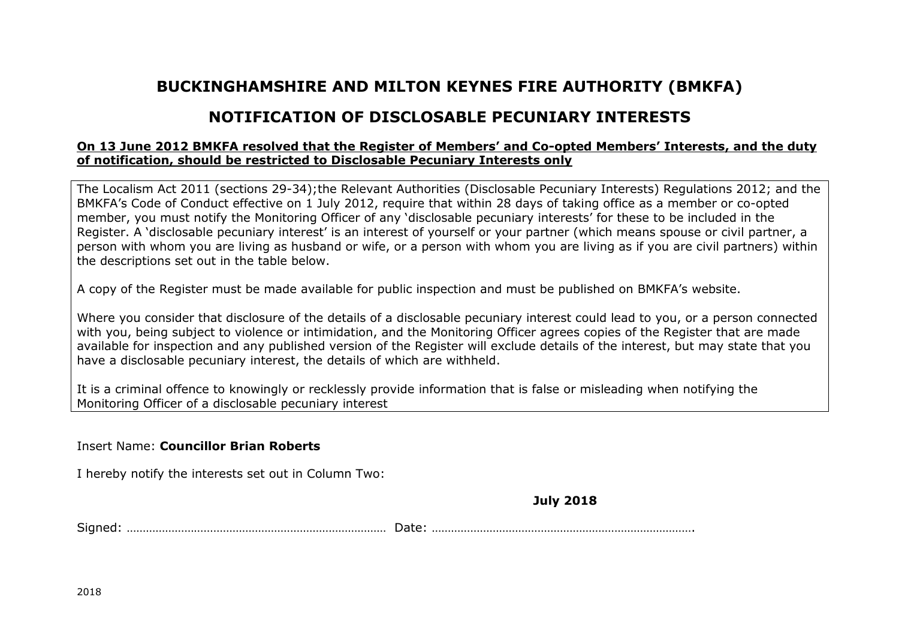## **BUCKINGHAMSHIRE AND MILTON KEYNES FIRE AUTHORITY (BMKFA)**

## **NOTIFICATION OF DISCLOSABLE PECUNIARY INTERESTS**

## **On 13 June 2012 BMKFA resolved that the Register of Members' and Co-opted Members' Interests, and the duty of notification, should be restricted to Disclosable Pecuniary Interests only**

The Localism Act 2011 (sections 29-34);the Relevant Authorities (Disclosable Pecuniary Interests) Regulations 2012; and the BMKFA's Code of Conduct effective on 1 July 2012, require that within 28 days of taking office as a member or co-opted member, you must notify the Monitoring Officer of any 'disclosable pecuniary interests' for these to be included in the Register. A 'disclosable pecuniary interest' is an interest of yourself or your partner (which means spouse or civil partner, a person with whom you are living as husband or wife, or a person with whom you are living as if you are civil partners) within the descriptions set out in the table below.

A copy of the Register must be made available for public inspection and must be published on BMKFA's website.

Where you consider that disclosure of the details of a disclosable pecuniary interest could lead to you, or a person connected with you, being subject to violence or intimidation, and the Monitoring Officer agrees copies of the Register that are made available for inspection and any published version of the Register will exclude details of the interest, but may state that you have a disclosable pecuniary interest, the details of which are withheld.

It is a criminal offence to knowingly or recklessly provide information that is false or misleading when notifying the Monitoring Officer of a disclosable pecuniary interest

## Insert Name: **Councillor Brian Roberts**

I hereby notify the interests set out in Column Two:

**July 2018**

Signed: ……………………………………………………………………… Date: ……………………………………………………………………….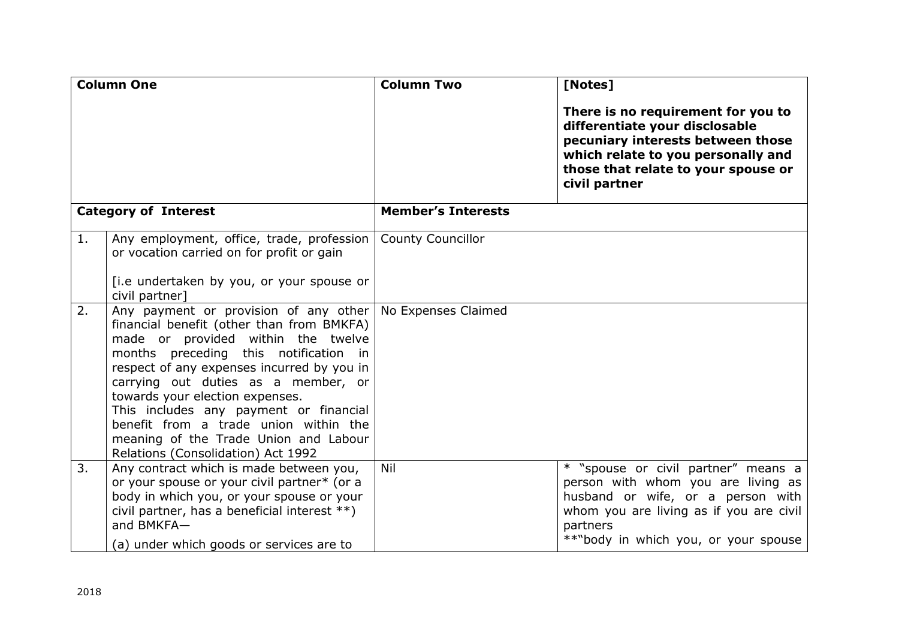| <b>Column One</b>           |                                                                                                                                                                                                                                                                                                                                                                                                                                                             | <b>Column Two</b>         | [Notes]                                                                                                                                                                                                       |
|-----------------------------|-------------------------------------------------------------------------------------------------------------------------------------------------------------------------------------------------------------------------------------------------------------------------------------------------------------------------------------------------------------------------------------------------------------------------------------------------------------|---------------------------|---------------------------------------------------------------------------------------------------------------------------------------------------------------------------------------------------------------|
|                             |                                                                                                                                                                                                                                                                                                                                                                                                                                                             |                           | There is no requirement for you to<br>differentiate your disclosable<br>pecuniary interests between those<br>which relate to you personally and<br>those that relate to your spouse or<br>civil partner       |
| <b>Category of Interest</b> |                                                                                                                                                                                                                                                                                                                                                                                                                                                             | <b>Member's Interests</b> |                                                                                                                                                                                                               |
| 1.                          | Any employment, office, trade, profession<br>or vocation carried on for profit or gain<br>[i.e undertaken by you, or your spouse or<br>civil partner]                                                                                                                                                                                                                                                                                                       | <b>County Councillor</b>  |                                                                                                                                                                                                               |
| 2.                          | Any payment or provision of any other<br>financial benefit (other than from BMKFA)<br>made or provided within the twelve<br>months preceding this notification in<br>respect of any expenses incurred by you in<br>carrying out duties as a member, or<br>towards your election expenses.<br>This includes any payment or financial<br>benefit from a trade union within the<br>meaning of the Trade Union and Labour<br>Relations (Consolidation) Act 1992 | No Expenses Claimed       |                                                                                                                                                                                                               |
| 3.                          | Any contract which is made between you,<br>or your spouse or your civil partner* (or a<br>body in which you, or your spouse or your<br>civil partner, has a beneficial interest **)<br>and BMKFA-<br>(a) under which goods or services are to                                                                                                                                                                                                               | Nil                       | * "spouse or civil partner" means a<br>person with whom you are living as<br>husband or wife, or a person with<br>whom you are living as if you are civil<br>partners<br>**"body in which you, or your spouse |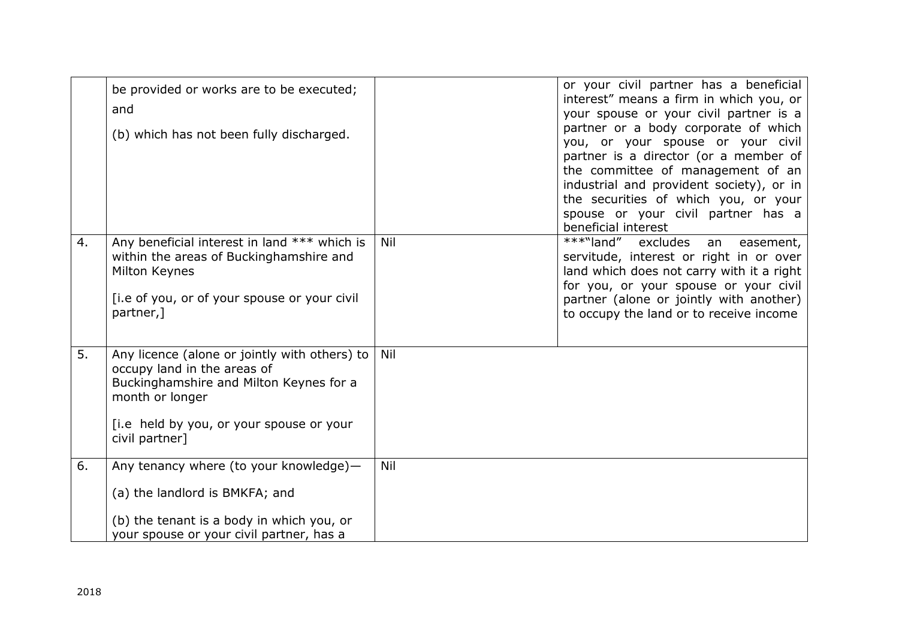|    | be provided or works are to be executed;<br>and<br>(b) which has not been fully discharged.                                                                                                              |     | or your civil partner has a beneficial<br>interest" means a firm in which you, or<br>your spouse or your civil partner is a<br>partner or a body corporate of which<br>you, or your spouse or your civil<br>partner is a director (or a member of<br>the committee of management of an<br>industrial and provident society), or in<br>the securities of which you, or your<br>spouse or your civil partner has a<br>beneficial interest |
|----|----------------------------------------------------------------------------------------------------------------------------------------------------------------------------------------------------------|-----|-----------------------------------------------------------------------------------------------------------------------------------------------------------------------------------------------------------------------------------------------------------------------------------------------------------------------------------------------------------------------------------------------------------------------------------------|
| 4. | Any beneficial interest in land *** which is<br>within the areas of Buckinghamshire and<br>Milton Keynes<br>[i.e of you, or of your spouse or your civil<br>partner,]                                    | Nil | $\overline{***}$ "land"<br>excludes<br>easement,<br>an<br>servitude, interest or right in or over<br>land which does not carry with it a right<br>for you, or your spouse or your civil<br>partner (alone or jointly with another)<br>to occupy the land or to receive income                                                                                                                                                           |
| 5. | Any licence (alone or jointly with others) to<br>occupy land in the areas of<br>Buckinghamshire and Milton Keynes for a<br>month or longer<br>[i.e held by you, or your spouse or your<br>civil partner] | Nil |                                                                                                                                                                                                                                                                                                                                                                                                                                         |
| 6. | Any tenancy where (to your knowledge)-<br>(a) the landlord is BMKFA; and<br>(b) the tenant is a body in which you, or<br>your spouse or your civil partner, has a                                        | Nil |                                                                                                                                                                                                                                                                                                                                                                                                                                         |